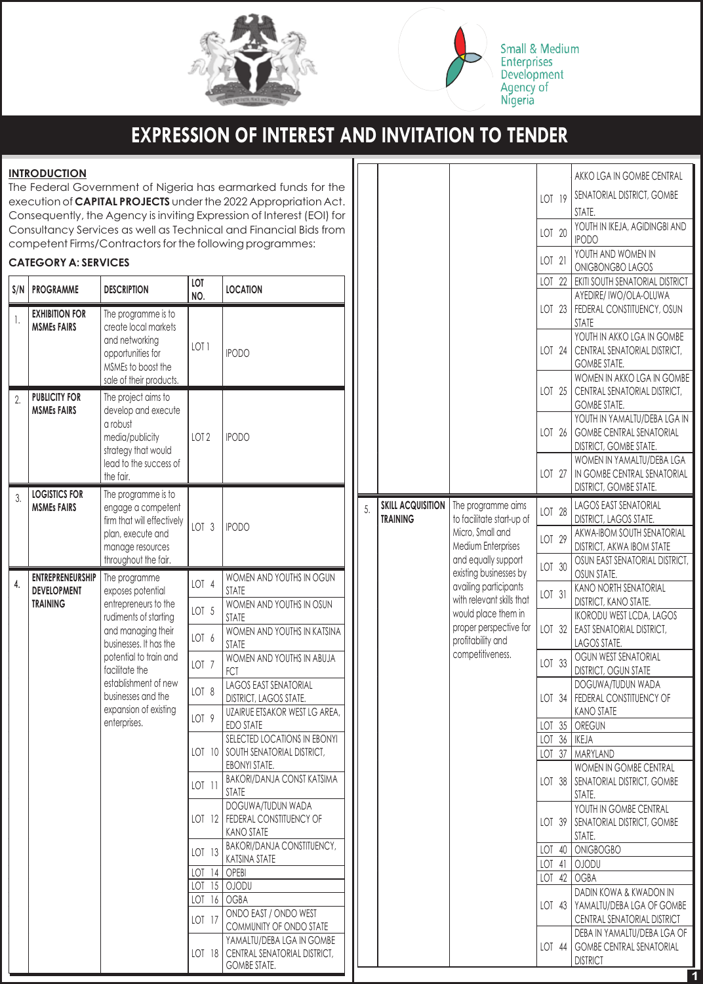

**Small & Medium Enterprises** Development Agency of<br>Nigeria

# **EXPRESSION OF INTEREST AND INVITATION TO TENDER**

#### **INTRODUCTION**

The Federal Government of Nigeria has earmarked funds for the execution of **CAPITAL PROJECTS** under the 2022 Appropriation Act. Consequently, the Agency is inviting Expression of Interest (EOI) for Consultancy Services as well as Technical and Financial Bids from competent Firms/Contractors for the following programmes:

#### **CATEGORY A: SERVICES**

| S/N | <b>PROGRAMME</b>                              | <b>DESCRIPTION</b>                                                                                                                                                                                                               | LOT<br>NO.       | <b>LOCATION</b>                                                                    |
|-----|-----------------------------------------------|----------------------------------------------------------------------------------------------------------------------------------------------------------------------------------------------------------------------------------|------------------|------------------------------------------------------------------------------------|
| 1.  | <b>EXHIBITION FOR</b><br><b>MSMEs FAIRS</b>   | The programme is to<br>create local markets<br>and networking<br>opportunities for<br>MSMEs to boost the<br>sale of their products.                                                                                              | LOT <sub>1</sub> | <b>IPODO</b>                                                                       |
| 2.  | <b>PUBLICITY FOR</b><br><b>MSMEs FAIRS</b>    | The project aims to<br>develop and execute<br>a robust<br>media/publicity<br>strategy that would<br>lead to the success of<br>the fair.                                                                                          | LOT <sub>2</sub> | <b>IPODO</b>                                                                       |
| 3.  | <b>LOGISTICS FOR</b><br><b>MSMEs FAIRS</b>    | The programme is to<br>engage a competent<br>firm that will effectively<br>plan, execute and<br>manage resources<br>throughout the fair.                                                                                         | LOT <sub>3</sub> | <b>IPODO</b>                                                                       |
| 4.  | <b>ENTREPRENEURSHIP</b><br><b>DEVELOPMENT</b> | The programme<br>exposes potential                                                                                                                                                                                               | LOT <sub>4</sub> | WOMEN AND YOUTHS IN OGUN<br><b>STATE</b>                                           |
|     | <b>TRAINING</b>                               | entrepreneurs to the<br>rudiments of starting<br>and managing their<br>businesses. It has the<br>potential to train and<br>facilitate the<br>establishment of new<br>businesses and the<br>expansion of existing<br>enterprises. | LOT <sub>5</sub> | WOMEN AND YOUTHS IN OSUN<br><b>STATE</b>                                           |
|     |                                               |                                                                                                                                                                                                                                  | LOT 6            | WOMEN AND YOUTHS IN KATSINA<br><b>STATE</b>                                        |
|     |                                               |                                                                                                                                                                                                                                  | LOT <sub>7</sub> | WOMEN AND YOUTHS IN ABUJA<br><b>FCT</b>                                            |
|     |                                               |                                                                                                                                                                                                                                  | LOT 8            | <b>LAGOS EAST SENATORIAL</b><br>DISTRICT, LAGOS STATE.                             |
|     |                                               |                                                                                                                                                                                                                                  | LOT <sub>9</sub> | UZAIRUE ETSAKOR WEST LG AREA,<br><b>EDO STATE</b>                                  |
|     |                                               |                                                                                                                                                                                                                                  |                  | SELECTED LOCATIONS IN EBONYI<br>LOT 10 SOUTH SENATORIAL DISTRICT,<br>EBONYI STATE. |
|     |                                               |                                                                                                                                                                                                                                  | LOT 11           | <b>BAKORI/DANJA CONST KATSIMA</b><br><b>STATE</b>                                  |
|     |                                               |                                                                                                                                                                                                                                  |                  | DOGUWA/TUDUN WADA<br>LOT 12   FEDERAL CONSTITUENCY OF<br><b>KANO STATE</b>         |
|     |                                               |                                                                                                                                                                                                                                  | LOT 13           | <b>BAKORI/DANJA CONSTITUENCY,</b><br>KATSINA STATE                                 |
|     |                                               |                                                                                                                                                                                                                                  | LOT 14   OPEBI   |                                                                                    |
|     |                                               |                                                                                                                                                                                                                                  |                  | LOT 15   OJODU                                                                     |
|     |                                               |                                                                                                                                                                                                                                  | LOT 16           | <b>OGBA</b>                                                                        |
|     |                                               |                                                                                                                                                                                                                                  | LOT 17           | ONDO EAST / ONDO WEST<br>COMMUNITY OF ONDO STATE                                   |
|     |                                               |                                                                                                                                                                                                                                  |                  | YAMALTU/DEBA LGA IN GOMBE<br>LOT 18   CENTRAL SENATORIAL DISTRICT,                 |

GOMBE STATE.

|    |                                 |                                                                                                                                               |                              |                           | AKKO LGA IN GOMBE CENTRAL                                      |
|----|---------------------------------|-----------------------------------------------------------------------------------------------------------------------------------------------|------------------------------|---------------------------|----------------------------------------------------------------|
|    |                                 |                                                                                                                                               |                              |                           | SENATORIAL DISTRICT, GOMBE                                     |
|    |                                 |                                                                                                                                               | LOT 19                       |                           | STATE.                                                         |
|    |                                 |                                                                                                                                               |                              |                           | YOUTH IN IKEJA, AGIDINGBI AND                                  |
|    |                                 |                                                                                                                                               | LOT 20                       |                           | <b>IPODO</b>                                                   |
|    |                                 |                                                                                                                                               |                              |                           | YOUTH AND WOMEN IN                                             |
|    |                                 |                                                                                                                                               | LOT 21                       |                           | <b>ONIGBONGBO LAGOS</b>                                        |
|    |                                 |                                                                                                                                               | LOT                          | 22                        | EKITI SOUTH SENATORIAL DISTRICT                                |
|    |                                 |                                                                                                                                               |                              |                           | AYEDIRE/ IWO/OLA-OLUWA                                         |
|    |                                 |                                                                                                                                               | LOT 23                       |                           | FEDERAL CONSTITUENCY, OSUN                                     |
|    |                                 |                                                                                                                                               |                              |                           | <b>STATE</b>                                                   |
|    |                                 |                                                                                                                                               |                              |                           | YOUTH IN AKKO LGA IN GOMBE                                     |
|    |                                 |                                                                                                                                               | LOT 24                       |                           | CENTRAL SENATORIAL DISTRICT,                                   |
|    |                                 |                                                                                                                                               |                              |                           | <b>GOMBE STATE.</b>                                            |
|    |                                 |                                                                                                                                               |                              |                           | WOMEN IN AKKO LGA IN GOMBE                                     |
|    |                                 | LOT 25                                                                                                                                        | CENTRAL SENATORIAL DISTRICT, |                           |                                                                |
|    |                                 |                                                                                                                                               |                              |                           | <b>GOMBE STATE.</b><br>YOUTH IN YAMALTU/DEBA LGA IN            |
|    |                                 |                                                                                                                                               | LOT 26                       |                           | <b>GOMBE CENTRAL SENATORIAL</b>                                |
|    |                                 |                                                                                                                                               |                              |                           | <b>DISTRICT, GOMBE STATE.</b>                                  |
|    |                                 |                                                                                                                                               |                              |                           | WOMEN IN YAMALTU/DEBA LGA                                      |
|    |                                 |                                                                                                                                               | LOT 27                       |                           | IN GOMBE CENTRAL SENATORIAL                                    |
|    |                                 |                                                                                                                                               |                              |                           | <b>DISTRICT, GOMBE STATE.</b>                                  |
| 5. | <b><i>SKILL ACQUISITION</i></b> | The programme aims                                                                                                                            |                              |                           | LAGOS EAST SENATORIAL                                          |
|    | <b>TRAINING</b>                 | to facilitate start-up of<br>Micro, Small and<br>Medium Enterprises<br>and equally support<br>existing businesses by<br>availing participants | LOT 28                       |                           | <b>DISTRICT, LAGOS STATE.</b>                                  |
|    |                                 |                                                                                                                                               | LOT 29                       |                           | AKWA-IBOM SOUTH SENATORIAL                                     |
|    |                                 |                                                                                                                                               |                              |                           | <b>DISTRICT, AKWA IBOM STATE</b>                               |
|    |                                 |                                                                                                                                               | LOT 30                       |                           | OSUN EAST SENATORIAL DISTRICT,                                 |
|    |                                 |                                                                                                                                               |                              |                           | OSUN STATE.<br><b>KANO NORTH SENATORIAL</b>                    |
|    | with relevant skills that       | LOT 31                                                                                                                                        |                              | DISTRICT, KANO STATE.     |                                                                |
|    |                                 | would place them in<br>proper perspective for                                                                                                 |                              |                           | <b>IKORODU WEST LCDA, LAGOS</b>                                |
|    |                                 |                                                                                                                                               | LOT 32                       | EAST SENATORIAL DISTRICT, |                                                                |
|    |                                 |                                                                                                                                               |                              | LAGOS STATE.              |                                                                |
|    |                                 | profitability and                                                                                                                             |                              |                           |                                                                |
|    |                                 | competitiveness.                                                                                                                              |                              |                           | OGUN WEST SENATORIAL                                           |
|    |                                 |                                                                                                                                               | LOT 33                       |                           | <b>DISTRICT, OGUN STATE</b>                                    |
|    |                                 |                                                                                                                                               |                              |                           | DOGUWA/TUDUN WADA                                              |
|    |                                 |                                                                                                                                               | LOT 34                       |                           | FEDERAL CONSTITUENCY OF                                        |
|    |                                 |                                                                                                                                               |                              |                           | <b>KANO STATE</b>                                              |
|    |                                 |                                                                                                                                               | LOT 35                       |                           | OREGUN                                                         |
|    |                                 |                                                                                                                                               | LOT 36                       |                           | <b>IKEJA</b>                                                   |
|    |                                 |                                                                                                                                               | LOT 37                       |                           | MARYLAND                                                       |
|    |                                 |                                                                                                                                               | LOT 38                       |                           | WOMEN IN GOMBE CENTRAL                                         |
|    |                                 |                                                                                                                                               |                              |                           | SENATORIAL DISTRICT, GOMBE<br>STATE.                           |
|    |                                 |                                                                                                                                               |                              |                           | YOUTH IN GOMBE CENTRAL                                         |
|    |                                 |                                                                                                                                               | LOT 39                       |                           | SENATORIAL DISTRICT, GOMBE                                     |
|    |                                 |                                                                                                                                               |                              |                           | STATE.                                                         |
|    |                                 |                                                                                                                                               | LOT 40                       |                           | ONIGBOGBO                                                      |
|    |                                 |                                                                                                                                               | LOT 41                       |                           | <b>OJODU</b>                                                   |
|    |                                 |                                                                                                                                               | LOT                          | 42                        | <b>OGBA</b>                                                    |
|    |                                 |                                                                                                                                               |                              |                           | DADIN KOWA & KWADON IN                                         |
|    |                                 |                                                                                                                                               | $LOT$ 43                     |                           | YAMALTU/DEBA LGA OF GOMBE                                      |
|    |                                 |                                                                                                                                               |                              |                           | CENTRAL SENATORIAL DISTRICT                                    |
|    |                                 |                                                                                                                                               | LOT 44                       |                           | DEBA IN YAMALTU/DEBA LGA OF<br><b>GOMBE CENTRAL SENATORIAL</b> |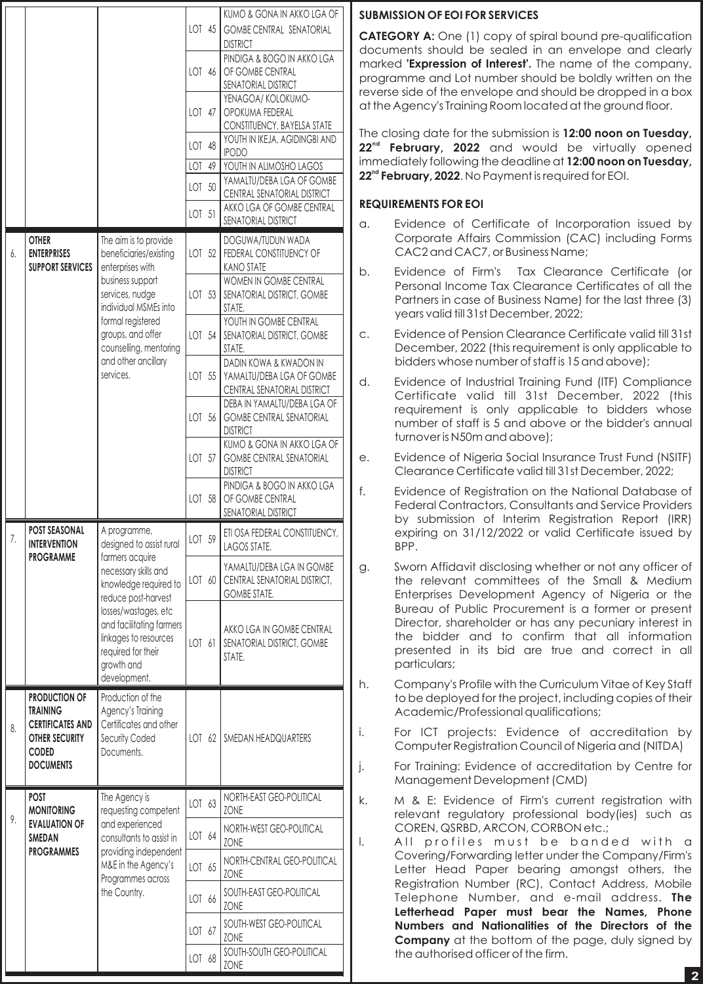|    |                                                                                                                                 |                                                                                                                               |        |    | KUMO & GONA IN AKKO LGA OF                                                         |  |
|----|---------------------------------------------------------------------------------------------------------------------------------|-------------------------------------------------------------------------------------------------------------------------------|--------|----|------------------------------------------------------------------------------------|--|
|    |                                                                                                                                 |                                                                                                                               | LOT 45 |    | <b>GOMBE CENTRAL SENATORIAL</b><br><b>DISTRICT</b>                                 |  |
|    |                                                                                                                                 |                                                                                                                               | LOT 46 |    | PINDIGA & BOGO IN AKKO LGA<br>OF GOMBE CENTRAL<br>SENATORIAL DISTRICT              |  |
|    |                                                                                                                                 |                                                                                                                               | LOT 47 |    | YENAGOA/ KOLOKUMO-<br>OPOKUMA FEDERAL<br>CONSTITUENCY, BAYELSA STATE               |  |
|    |                                                                                                                                 |                                                                                                                               | LOT 48 |    | YOUTH IN IKEJA, AGIDINGBI AND                                                      |  |
|    |                                                                                                                                 |                                                                                                                               | LOT 49 |    | <b>IPODO</b><br>YOUTH IN ALIMOSHO LAGOS                                            |  |
|    |                                                                                                                                 |                                                                                                                               | LOT 50 |    | YAMALTU/DEBA LGA OF GOMBE<br>CENTRAL SENATORIAL DISTRICT                           |  |
|    |                                                                                                                                 |                                                                                                                               | LOT 51 |    | AKKO LGA OF GOMBE CENTRAL<br>SENATORIAL DISTRICT                                   |  |
|    | <b>OTHER</b>                                                                                                                    | The aim is to provide                                                                                                         |        |    | DOGUWA/TUDUN WADA                                                                  |  |
| 6. | <b>ENTERPRISES</b><br><b>SUPPORT SERVICES</b>                                                                                   | beneficiaries/existing<br>enterprises with                                                                                    |        |    | LOT 52   FEDERAL CONSTITUENCY OF<br><b>KANO STATE</b>                              |  |
|    |                                                                                                                                 | business support<br>services, nudge<br>individual MSMEs into                                                                  | LOT 53 |    | WOMEN IN GOMBE CENTRAL<br>SENATORIAL DISTRICT, GOMBE<br>STATE.                     |  |
|    |                                                                                                                                 | formal registered<br>groups, and offer<br>counselling, mentoring                                                              |        |    | YOUTH IN GOMBE CENTRAL<br>LOT 54   SENATORIAL DISTRICT, GOMBE<br>STATE.            |  |
|    |                                                                                                                                 | and other ancillary<br>services.                                                                                              | LOT 55 |    | DADIN KOWA & KWADON IN<br>YAMALTU/DEBA LGA OF GOMBE<br>CENTRAL SENATORIAL DISTRICT |  |
|    |                                                                                                                                 |                                                                                                                               | LOT 56 |    | DEBA IN YAMALTU/DEBA LGA OF<br><b>GOMBE CENTRAL SENATORIAL</b><br><b>DISTRICT</b>  |  |
|    |                                                                                                                                 |                                                                                                                               | LOT 57 |    | KUMO & GONA IN AKKO LGA OF<br><b>GOMBE CENTRAL SENATORIAL</b><br><b>DISTRICT</b>   |  |
|    |                                                                                                                                 |                                                                                                                               | LOT 58 |    | PINDIGA & BOGO IN AKKO LGA<br>OF GOMBE CENTRAL<br>SENATORIAL DISTRICT              |  |
| 7. | <b>POST SEASONAL</b><br><b>INTERVENTION</b><br><b>PROGRAMME</b>                                                                 | A programme,<br>designed to assist rural<br>farmers acquire                                                                   | LOT 59 |    | ETI OSA FEDERAL CONSTITUENCY,<br>LAGOS STATE.                                      |  |
|    |                                                                                                                                 | necessary skills and<br>knowledge required to<br>reduce post-harvest                                                          | LOT 60 |    | YAMALTU/DEBA LGA IN GOMBE<br>CENTRAL SENATORIAL DISTRICT,<br><b>GOMBE STATE.</b>   |  |
|    |                                                                                                                                 | losses/wastages, etc<br>and facilitating farmers<br>linkages to resources<br>required for their<br>growth and<br>development. | LOT 61 |    | AKKO LGA IN GOMBE CENTRAL<br>SENATORIAL DISTRICT, GOMBE<br>STATE.                  |  |
| 8. | <b>PRODUCTION OF</b><br><b>TRAINING</b><br><b>CERTIFICATES AND</b><br><b>OTHER SECURITY</b><br><b>CODED</b><br><b>DOCUMENTS</b> | Production of the<br>Agency's Training<br>Certificates and other<br>Security Coded<br>Documents.                              | LOT 62 |    | SMEDAN HEADQUARTERS                                                                |  |
| 9. | <b>POST</b><br><b>MONITORING</b>                                                                                                | The Agency is<br>requesting competent                                                                                         | LOT 63 |    | NORTH-EAST GEO-POLITICAL<br><b>ZONE</b>                                            |  |
|    | <b>EVALUATION OF</b><br><b>SMEDAN</b>                                                                                           | and experienced<br>consultants to assist in                                                                                   | LOT 64 |    | NORTH-WEST GEO-POLITICAL<br>ZONE                                                   |  |
|    | <b>PROGRAMMES</b>                                                                                                               | providing independent<br>M&E in the Agency's<br>Programmes across                                                             | LOT    | 65 | NORTH-CENTRAL GEO-POLITICAL<br>ZONE                                                |  |
|    |                                                                                                                                 | the Country.                                                                                                                  | LOT 66 |    | SOUTH-EAST GEO-POLITICAL<br>ZONE                                                   |  |
|    |                                                                                                                                 |                                                                                                                               | LOT 67 |    | SOUTH-WEST GEO-POLITICAL<br>ZONE                                                   |  |
|    |                                                                                                                                 |                                                                                                                               | LOT 68 |    | SOUTH-SOUTH GEO-POLITICAL<br>ZONE                                                  |  |

### **SUBMISSION OF EOI FOR SERVICES**

**CATEGORY A:** One (1) copy of spiral bound pre-qualification documents should be sealed in an envelope and clearly marked **'Expression of Interest'.** The name of the company, programme and Lot number should be boldly written on the reverse side of the envelope and should be dropped in a box at the Agency's Training Room located at the ground floor.

The closing date for the submission is **12:00 noon on Tuesday, nd 22 February, 2022** and would be virtually opened immediately following the deadline at **12:00 noon on Tuesday,**  22<sup>nd</sup> February, 2022. No Payment is required for EOI.

#### **REQUIREMENTS FOR EOI**

- a. Evidence of Certificate of Incorporation issued by Corporate Affairs Commission (CAC) including Forms CAC2 and CAC7, or Business Name;
- b. Evidence of Firm's Tax Clearance Certificate (or Personal Income Tax Clearance Certificates of all the Partners in case of Business Name) for the last three (3) years valid till 31st December, 2022;
- c. Evidence of Pension Clearance Certificate valid till 31st December, 2022 (this requirement is only applicable to bidders whose number of staff is 15 and above);
- d. Evidence of Industrial Training Fund (ITF) Compliance Certificate valid till 31st December, 2022 (this requirement is only applicable to bidders whose number of staff is 5 and above or the bidder's annual turnover is N50m and above);
- e. Evidence of Nigeria Social Insurance Trust Fund (NSITF) Clearance Certificate valid till 31st December, 2022;
- f. Evidence of Registration on the National Database of Federal Contractors, Consultants and Service Providers by submission of Interim Registration Report (IRR) expiring on 31/12/2022 or valid Certificate issued by BPP.
- g. Sworn Affidavit disclosing whether or not any officer of the relevant committees of the Small & Medium Enterprises Development Agency of Nigeria or the Bureau of Public Procurement is a former or present Director, shareholder or has any pecuniary interest in the bidder and to confirm that all information presented in its bid are true and correct in all particulars;
- h. Company's Profile with the Curriculum Vitae of Key Staff to be deployed for the project, including copies of their Academic/Professional qualifications;
- i. For ICT projects: Evidence of accreditation by Computer Registration Council of Nigeria and (NITDA)
- j. For Training: Evidence of accreditation by Centre for Management Development (CMD)
- k. M & E: Evidence of Firm's current registration with relevant regulatory professional body(ies) such as COREN, QSRBD, ARCON, CORBON etc.;
- l. All profiles must be banded with a Covering/Forwarding letter under the Company/Firm's Letter Head Paper bearing amongst others, the Registration Number (RC), Contact Address, Mobile Telephone Number, and e-mail address. **The Letterhead Paper must bear the Names, Phone Numbers and Nationalities of the Directors of the Company** at the bottom of the page, duly signed by the authorised officer of the firm.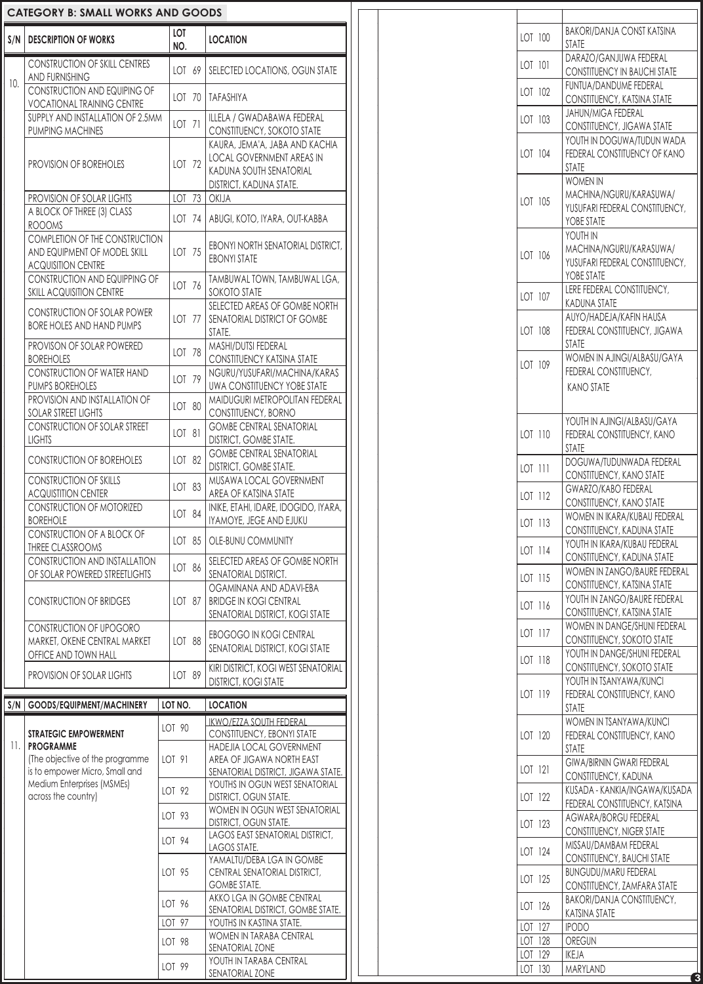|                   | <b>CATEGORY B: SMALL WORKS AND GOODS</b>                                                           |            |        |                                                                                                      |
|-------------------|----------------------------------------------------------------------------------------------------|------------|--------|------------------------------------------------------------------------------------------------------|
|                   | S/N   DESCRIPTION OF WORKS                                                                         | LOT<br>NO. |        | <b>LOCATION</b>                                                                                      |
|                   | <b>CONSTRUCTION OF SKILL CENTRES</b>                                                               |            |        | LOT 69   SELECTED LOCATIONS, OGUN STATE                                                              |
| 10.               | <b>AND FURNISHING</b><br>CONSTRUCTION AND EQUIPING OF<br><b>VOCATIONAL TRAINING CENTRE</b>         |            |        | LOT 70   TAFASHIYA                                                                                   |
|                   | SUPPLY AND INSTALLATION OF 2.5MM<br>PUMPING MACHINES                                               | LOT 71     |        | ILLELA / GWADABAWA FEDERAL<br>CONSTITUENCY, SOKOTO STATE                                             |
|                   | PROVISION OF BOREHOLES                                                                             |            | LOT 72 | KAURA, JEMA'A, JABA AND KACHIA<br><b>LOCAL GOVERNMENT AREAS IN</b><br>KADUNA SOUTH SENATORIAL        |
|                   |                                                                                                    |            |        | DISTRICT, KADUNA STATE.                                                                              |
|                   | PROVISION OF SOLAR LIGHTS<br>A BLOCK OF THREE (3) CLASS<br><b>ROOOMS</b>                           |            |        | LOT $73$ OKIJA<br>LOT 74   ABUGI, KOTO, IYARA, OUT-KABBA                                             |
|                   | <b>COMPLETION OF THE CONSTRUCTION</b><br>AND EQUIPMENT OF MODEL SKILL<br><b>ACQUISITION CENTRE</b> |            | LOT 75 | EBONYI NORTH SENATORIAL DISTRICT,<br><b>EBONYI STATE</b>                                             |
|                   | <b>CONSTRUCTION AND EQUIPPING OF</b><br><b>SKILL ACQUISITION CENTRE</b>                            |            | LOT 76 | TAMBUWAL TOWN, TAMBUWAL LGA,<br>SOKOTO STATE                                                         |
|                   | <b>CONSTRUCTION OF SOLAR POWER</b><br><b>BORE HOLES AND HAND PUMPS</b>                             |            |        | SELECTED AREAS OF GOMBE NORTH<br>LOT 77   SENATORIAL DISTRICT OF GOMBE<br>STATE.                     |
|                   | PROVISON OF SOLAR POWERED<br><b>BOREHOLES</b>                                                      |            | LOT 78 | MASHI/DUTSI FEDERAL<br><b>CONSTITUENCY KATSINA STATE</b>                                             |
|                   | <b>CONSTRUCTION OF WATER HAND</b><br>PUMPS BOREHOLES                                               |            | LOT 79 | NGURU/YUSUFARI/MACHINA/KARAS<br><b>UWA CONSTITUENCY YOBE STATE</b>                                   |
|                   | PROVISION AND INSTALLATION OF<br><b>SOLAR STREET LIGHTS</b>                                        |            | LOT 80 | MAIDUGURI METROPOLITAN FEDERAL<br>CONSTITUENCY, BORNO                                                |
|                   | <b>CONSTRUCTION OF SOLAR STREET</b><br><b>LIGHTS</b>                                               | LOT 81     |        | <b>GOMBE CENTRAL SENATORIAL</b><br><b>DISTRICT, GOMBE STATE.</b>                                     |
|                   | <b>CONSTRUCTION OF BOREHOLES</b>                                                                   |            | LOT 82 | <b>GOMBE CENTRAL SENATORIAL</b><br><b>DISTRICT, GOMBE STATE.</b>                                     |
|                   | <b>CONSTRUCTION OF SKILLS</b>                                                                      |            | LOT 83 | MUSAWA LOCAL GOVERNMENT                                                                              |
|                   | <b>ACQUISTITION CENTER</b><br><b>CONSTRUCTION OF MOTORIZED</b>                                     |            | LOT 84 | AREA OF KATSINA STATE<br>INIKE, ETAHI, IDARE, IDOGIDO, IYARA,                                        |
|                   | <b>BOREHOLE</b><br>CONSTRUCTION OF A BLOCK OF<br>THREE CLASSROOMS                                  |            |        | IYAMOYE, JEGE AND EJUKU<br>LOT 85   OLE-BUNU COMMUNITY                                               |
|                   | CONSTRUCTION AND INSTALLATION<br>OF SOLAR POWERED STREETLIGHTS                                     |            | LOT 86 | SELECTED AREAS OF GOMBE NORTH<br>SENATORIAL DISTRICT.                                                |
|                   | <b>CONSTRUCTION OF BRIDGES</b>                                                                     |            | LOT 87 | OGAMINANA AND ADAVI-EBA<br><b>BRIDGE IN KOGI CENTRAL</b>                                             |
|                   | CONSTRUCTION OF UPOGORO                                                                            |            |        | SENATORIAL DISTRICT, KOGI STATE<br>EBOGOGO IN KOGI CENTRAL                                           |
|                   | MARKET, OKENE CENTRAL MARKET<br>OFFICE AND TOWN HALL                                               |            | LOT 88 | SENATORIAL DISTRICT, KOGI STATE                                                                      |
|                   | PROVISION OF SOLAR LIGHTS                                                                          |            | LOT 89 | KIRI DISTRICT, KOGI WEST SENATORIAL<br><b>DISTRICT, KOGI STATE</b>                                   |
|                   | S/N   GOODS/EQUIPMENT/MACHINERY                                                                    | LOT NO.    |        | <b>LOCATION</b>                                                                                      |
|                   | <b>STRATEGIC EMPOWERMENT</b>                                                                       | LOT 90     |        | <b>IKWO/EZZA SOUTH FEDERAL</b><br>CONSTITUENCY, EBONYI STATE                                         |
| $\overline{11}$ . | <b>PROGRAMME</b><br>(The objective of the programme                                                |            |        | HADEJIA LOCAL GOVERNMENT                                                                             |
|                   |                                                                                                    | LOT 91     |        | AREA OF JIGAWA NORTH EAST                                                                            |
|                   | is to empower Micro, Small and<br>Medium Enterprises (MSMEs)<br>across the country)                | LOT 92     |        | SENATORIAL DISTRICT, JIGAWA STATE.<br>YOUTHS IN OGUN WEST SENATORIAL<br><b>DISTRICT, OGUN STATE.</b> |
|                   |                                                                                                    | LOT 93     |        | WOMEN IN OGUN WEST SENATORIAL<br><b>DISTRICT, OGUN STATE.</b>                                        |
|                   |                                                                                                    | LOT 94     |        | LAGOS EAST SENATORIAL DISTRICT,<br>LAGOS STATE.                                                      |
|                   |                                                                                                    | LOT 95     |        | YAMALTU/DEBA LGA IN GOMBE<br>CENTRAL SENATORIAL DISTRICT,                                            |
|                   |                                                                                                    | LOT 96     |        | <b>GOMBE STATE.</b><br>AKKO LGA IN GOMBE CENTRAL<br>SENATORIAL DISTRICT, GOMBE STATE.                |
|                   |                                                                                                    | LOT 97     |        | YOUTHS IN KASTINA STATE.                                                                             |
|                   |                                                                                                    | LOT 98     |        | WOMEN IN TARABA CENTRAL<br>SENATORIAL ZONE                                                           |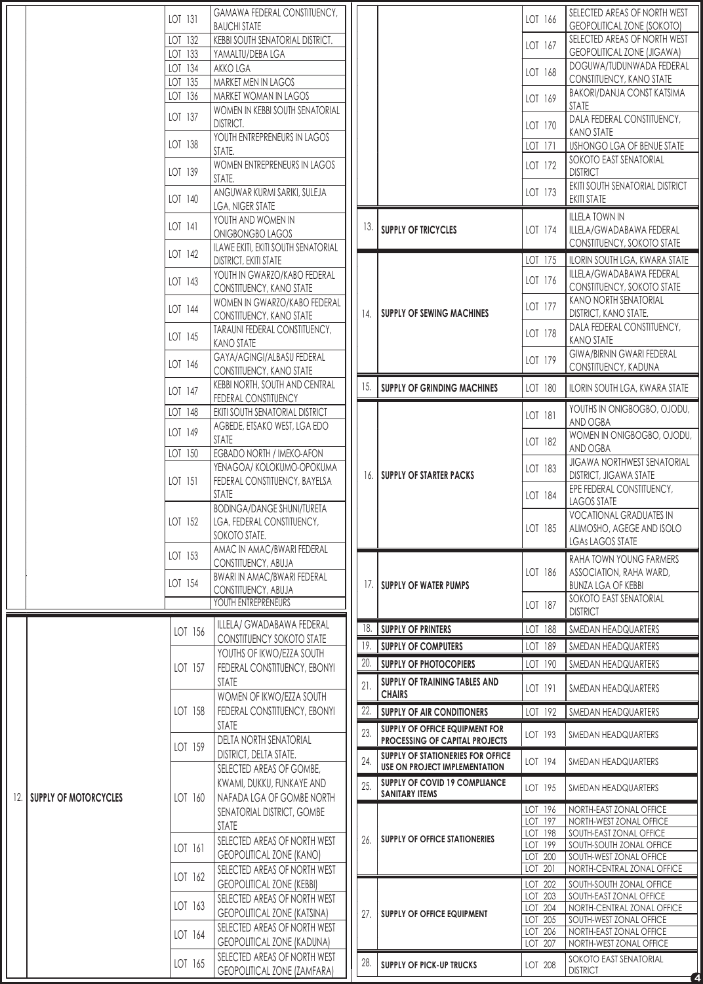|     |                              | LOT 131            | GAMAWA FEDERAL CONSTITUENCY,                                       |     |                                                        | LOT 166            | SELECTED AREAS OF NORTH WEST                                |
|-----|------------------------------|--------------------|--------------------------------------------------------------------|-----|--------------------------------------------------------|--------------------|-------------------------------------------------------------|
|     |                              |                    | <b>BAUCHI STATE</b>                                                |     |                                                        |                    | GEOPOLITICAL ZONE (SOKOTO)<br>SELECTED AREAS OF NORTH WEST  |
|     |                              | LOT 132<br>LOT 133 | KEBBI SOUTH SENATORIAL DISTRICT.<br>YAMALTU/DEBA LGA               |     |                                                        | LOT 167            | <b>GEOPOLITICAL ZONE (JIGAWA)</b>                           |
|     |                              | LOT 134            | AKKO LGA                                                           |     |                                                        |                    | DOGUWA/TUDUNWADA FEDERAL                                    |
|     |                              | LOT 135            | MARKET MEN IN LAGOS                                                |     |                                                        | LOT 168            | CONSTITUENCY, KANO STATE                                    |
|     |                              | LOT 136            | MARKET WOMAN IN LAGOS                                              |     |                                                        | LOT 169            | BAKORI/DANJA CONST KATSIMA                                  |
|     |                              |                    | WOMEN IN KEBBI SOUTH SENATORIAL                                    |     |                                                        |                    | <b>STATE</b>                                                |
|     |                              | LOT 137            | <b>DISTRICT.</b>                                                   |     |                                                        | LOT 170            | DALA FEDERAL CONSTITUENCY,                                  |
|     |                              |                    | YOUTH ENTREPRENEURS IN LAGOS                                       |     |                                                        |                    | <b>KANO STATE</b>                                           |
|     |                              | LOT 138            | STATE.                                                             |     |                                                        | LOT 171            | USHONGO LGA OF BENUE STATE                                  |
|     |                              | LOT 139            | WOMEN ENTREPRENEURS IN LAGOS                                       |     |                                                        | LOT 172            | SOKOTO EAST SENATORIAL<br><b>DISTRICT</b>                   |
|     |                              |                    | STATE.                                                             |     |                                                        |                    | EKITI SOUTH SENATORIAL DISTRICT                             |
|     |                              | LOT 140            | ANGUWAR KURMI SARIKI, SULEJA                                       |     |                                                        | LOT 173            | <b>EKITI STATE</b>                                          |
|     |                              |                    | <b>LGA, NIGER STATE</b><br>YOUTH AND WOMEN IN                      |     |                                                        |                    | <b>ILLELA TOWN IN</b>                                       |
|     |                              | LOT 141            | <b>ONIGBONGBO LAGOS</b>                                            | 13. | <b>SUPPLY OF TRICYCLES</b>                             | LOT 174            | ILLELA/GWADABAWA FEDERAL                                    |
|     |                              |                    | ILAWE EKITI, EKITI SOUTH SENATORIAL                                |     |                                                        |                    | CONSTITUENCY, SOKOTO STATE                                  |
|     |                              | LOT 142            | <b>DISTRICT, EKITI STATE</b>                                       |     |                                                        | LOT 175            | ILORIN SOUTH LGA, KWARA STATE                               |
|     |                              |                    | YOUTH IN GWARZO/KABO FEDERAL                                       |     |                                                        | LOT 176            | ILLELA/GWADABAWA FEDERAL                                    |
|     |                              | LOT 143            | CONSTITUENCY, KANO STATE                                           |     |                                                        |                    | CONSTITUENCY, SOKOTO STATE                                  |
|     |                              | LOT 144            | WOMEN IN GWARZO/KABO FEDERAL                                       |     |                                                        | LOT 177            | KANO NORTH SENATORIAL                                       |
|     |                              |                    | CONSTITUENCY, KANO STATE                                           | 14. | SUPPLY OF SEWING MACHINES                              |                    | <b>DISTRICT, KANO STATE.</b>                                |
|     |                              | LOT 145            | TARAUNI FEDERAL CONSTITUENCY,                                      |     |                                                        | LOT 178            | DALA FEDERAL CONSTITUENCY,<br><b>KANO STATE</b>             |
|     |                              |                    | <b>KANO STATE</b>                                                  |     |                                                        |                    | <b>GIWA/BIRNIN GWARI FEDERAL</b>                            |
|     |                              | LOT 146            | GAYA/AGINGI/ALBASU FEDERAL<br>CONSTITUENCY, KANO STATE             |     |                                                        | LOT 179            | CONSTITUENCY, KADUNA                                        |
|     |                              |                    | KEBBI NORTH, SOUTH AND CENTRAL                                     | 15. | <b>SUPPLY OF GRINDING MACHINES</b>                     | LOT 180            | ILORIN SOUTH LGA, KWARA STATE                               |
|     |                              | LOT 147            | FEDERAL CONSTITUENCY                                               |     |                                                        |                    |                                                             |
|     |                              | LOT 148            | EKITI SOUTH SENATORIAL DISTRICT                                    |     |                                                        | LOT 181            | YOUTHS IN ONIGBOGBO, OJODU,                                 |
|     |                              | LOT 149            | AGBEDE, ETSAKO WEST, LGA EDO                                       |     |                                                        |                    | AND OGBA<br>WOMEN IN ONIGBOGBO, OJODU,                      |
|     |                              |                    | STATE                                                              |     |                                                        | LOT 182            | AND OGBA                                                    |
|     |                              | LOT 150            | EGBADO NORTH / IMEKO-AFON<br>YENAGOA/KOLOKUMO-OPOKUMA              |     |                                                        |                    | <b>JIGAWA NORTHWEST SENATORIAL</b>                          |
|     |                              | LOT 151            | FEDERAL CONSTITUENCY, BAYELSA                                      | 16. | <b>SUPPLY OF STARTER PACKS</b>                         | LOT 183            | <b>DISTRICT, JIGAWA STATE</b>                               |
|     |                              |                    | <b>STATE</b>                                                       |     |                                                        | LOT 184            | EPE FEDERAL CONSTITUENCY,                                   |
|     |                              |                    | <b>BODINGA/DANGE SHUNI/TURETA</b>                                  |     |                                                        |                    | LAGOS STATE                                                 |
|     |                              | LOT 152            | LGA, FEDERAL CONSTITUENCY,                                         |     |                                                        | LOT 185            | <b>VOCATIONAL GRADUATES IN</b><br>ALIMOSHO, AGEGE AND ISOLO |
|     |                              |                    | SOKOTO STATE.                                                      |     |                                                        |                    | <b>LGAS LAGOS STATE</b>                                     |
|     |                              | LOT 153            | AMAC IN AMAC/BWARI FEDERAL                                         |     |                                                        |                    | RAHA TOWN YOUNG FARMERS                                     |
|     |                              |                    | CONSTITUENCY, ABUJA                                                |     |                                                        | LOT 186            | ASSOCIATION, RAHA WARD,                                     |
|     |                              | LOT 154            | <b>BWARI IN AMAC/BWARI FEDERAL</b><br>CONSTITUENCY, ABUJA          | 17. | <b>SUPPLY OF WATER PUMPS</b>                           |                    | <b>BUNZA LGA OF KEBBI</b>                                   |
|     |                              |                    |                                                                    |     |                                                        | LOT 187            | SOKOTO EAST SENATORIAL                                      |
|     |                              |                    | YOUTH ENTREPRENEURS                                                |     |                                                        |                    |                                                             |
|     |                              |                    |                                                                    |     |                                                        |                    | <b>DISTRICT</b>                                             |
|     |                              | LOT 156            | ILLELA/ GWADABAWA FEDERAL                                          | 18. | <b>SUPPLY OF PRINTERS</b>                              | LOT 188            | SMEDAN HEADQUARTERS                                         |
|     |                              |                    | CONSTITUENCY SOKOTO STATE                                          | 19. | <b>SUPPLY OF COMPUTERS</b>                             | LOT 189            | SMEDAN HEADQUARTERS                                         |
|     |                              |                    | YOUTHS OF IKWO/EZZA SOUTH                                          | 20. | <b>SUPPLY OF PHOTOCOPIERS</b>                          | LOT 190            | SMEDAN HEADQUARTERS                                         |
|     |                              | LOT 157            | FEDERAL CONSTITUENCY, EBONYI<br><b>STATE</b>                       |     | SUPPLY OF TRAINING TABLES AND                          |                    |                                                             |
|     |                              |                    | WOMEN OF IKWO/EZZA SOUTH                                           | 21. | <b>CHAIRS</b>                                          | LOT 191            | SMEDAN HEADQUARTERS                                         |
|     |                              | LOT 158            | FEDERAL CONSTITUENCY, EBONYI                                       | 22. | SUPPLY OF AIR CONDITIONERS                             | LOT 192            | SMEDAN HEADQUARTERS                                         |
|     |                              |                    | <b>STATE</b>                                                       |     | SUPPLY OF OFFICE EQUIPMENT FOR                         |                    |                                                             |
|     |                              |                    | <b>DELTA NORTH SENATORIAL</b>                                      | 23. | PROCESSING OF CAPITAL PROJECTS                         | LOT 193            | SMEDAN HEADQUARTERS                                         |
|     |                              | LOT 159            | <b>DISTRICT, DELTA STATE.</b>                                      | 24. | SUPPLY OF STATIONERIES FOR OFFICE                      | LOT 194            | SMEDAN HEADQUARTERS                                         |
|     |                              |                    | SELECTED AREAS OF GOMBE,                                           |     | USE ON PROJECT IMPLEMENTATION                          |                    |                                                             |
|     |                              |                    | KWAMI, DUKKU, FUNKAYE AND                                          | 25. | SUPPLY OF COVID 19 COMPLIANCE<br><b>SANITARY ITEMS</b> | LOT 195            | SMEDAN HEADQUARTERS                                         |
| 12. | <b>SUPPLY OF MOTORCYCLES</b> | LOT 160            | NAFADA LGA OF GOMBE NORTH                                          |     |                                                        | LOT 196            | NORTH-EAST ZONAL OFFICE                                     |
|     |                              |                    | SENATORIAL DISTRICT, GOMBE                                         |     |                                                        | LOT 197            | NORTH-WEST ZONAL OFFICE                                     |
|     |                              |                    | <b>STATE</b><br>SELECTED AREAS OF NORTH WEST                       | 26. | SUPPLY OF OFFICE STATIONERIES                          | LOT 198            | SOUTH-EAST ZONAL OFFICE                                     |
|     |                              | LOT 161            | <b>GEOPOLITICAL ZONE (KANO)</b>                                    |     |                                                        | LOT 199<br>LOT 200 | SOUTH-SOUTH ZONAL OFFICE<br>SOUTH-WEST ZONAL OFFICE         |
|     |                              |                    | SELECTED AREAS OF NORTH WEST                                       |     |                                                        | LOT 201            | NORTH-CENTRAL ZONAL OFFICE                                  |
|     |                              | LOT 162            | <b>GEOPOLITICAL ZONE (KEBBI)</b>                                   |     |                                                        | LOT 202            | SOUTH-SOUTH ZONAL OFFICE                                    |
|     |                              |                    | SELECTED AREAS OF NORTH WEST                                       |     |                                                        | LOT 203            | SOUTH-EAST ZONAL OFFICE                                     |
|     |                              | LOT 163            | <b>GEOPOLITICAL ZONE (KATSINA)</b>                                 | 27. | SUPPLY OF OFFICE EQUIPMENT                             | LOT 204            | NORTH-CENTRAL ZONAL OFFICE                                  |
|     |                              |                    | SELECTED AREAS OF NORTH WEST                                       |     |                                                        | LOT 205<br>LOT 206 | SOUTH-WEST ZONAL OFFICE<br>NORTH-EAST ZONAL OFFICE          |
|     |                              | LOT 164            | <b>GEOPOLITICAL ZONE (KADUNA)</b>                                  |     |                                                        | LOT 207            | NORTH-WEST ZONAL OFFICE                                     |
|     |                              | LOT 165            | SELECTED AREAS OF NORTH WEST<br><b>GEOPOLITICAL ZONE (ZAMFARA)</b> | 28. | <b>SUPPLY OF PICK-UP TRUCKS</b>                        | LOT 208            | SOKOTO EAST SENATORIAL<br><b>DISTRICT</b>                   |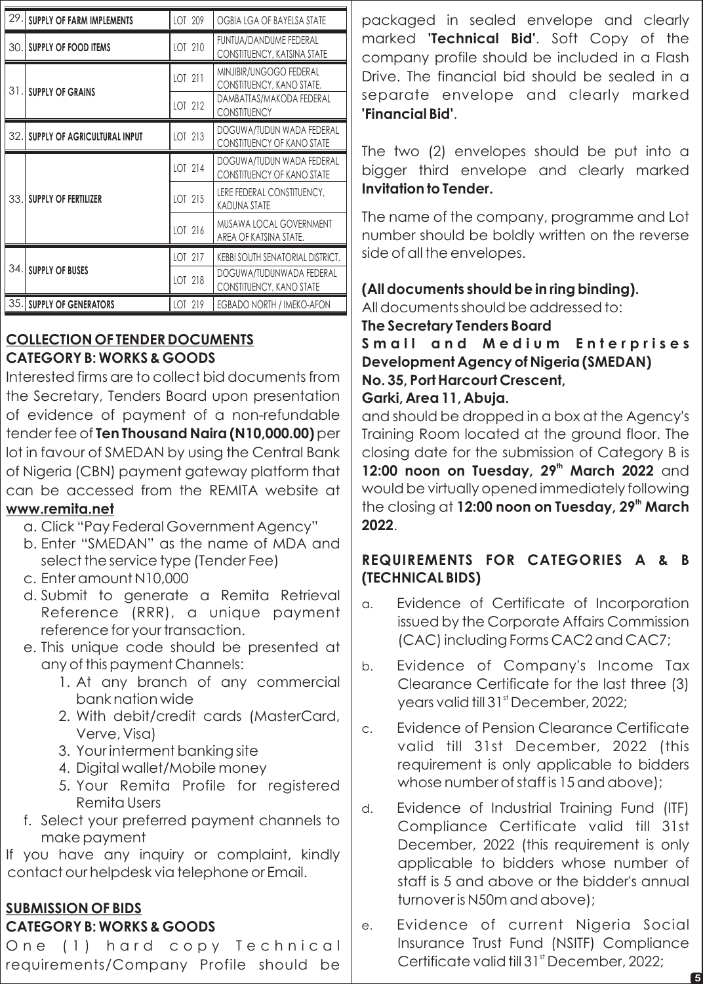| 29. | <b>SUPPLY OF FARM IMPLEMENTS</b>    | LOT 209 | OGBIA LGA OF BAYELSA STATE                                     |
|-----|-------------------------------------|---------|----------------------------------------------------------------|
| 30. | <b>SUPPLY OF FOOD ITEMS</b>         | LOT 210 | FUNTUA/DANDUME FEDERAL<br>CONSTITUENCY, KATSINA STATE          |
| 31. | <b>SUPPLY OF GRAINS</b>             | LOT 211 | MINJIBIR/UNGOGO FEDERAL<br>CONSTITUENCY, KANO STATE.           |
|     |                                     | LOT 212 | DAMBATTAS/MAKODA FEDERAL<br><b>CONSTITUENCY</b>                |
| 32. | <b>SUPPLY OF AGRICULTURAL INPUT</b> | LOT 213 | DOGUWA/TUDUN WADA FEDERAL<br><b>CONSTITUENCY OF KANO STATE</b> |
|     | <b>SUPPLY OF FERTILIZER</b>         | LOT 214 | DOGUWA/TUDUN WADA FEDERAL<br><b>CONSTITUENCY OF KANO STATE</b> |
| 33. |                                     | LOT 215 | LERE FEDERAL CONSTITUENCY,<br><b>KADUNA STATE</b>              |
|     |                                     | LOT 216 | MUSAWA LOCAL GOVERNMENT<br>AREA OF KATSINA STATE.              |
|     |                                     | LOT 217 | KEBBI SOUTH SENATORIAL DISTRICT.                               |
| 34. | <b>SUPPLY OF BUSES</b>              | LOT 218 | DOGUWA/TUDUNWADA FEDERAL<br>CONSTITUENCY, KANO STATE           |
| 35. | <b>SUPPLY OF GENERATORS</b>         | LOT 219 | EGBADO NORTH / IMEKO-AFON                                      |

# **COLLECTION OF TENDER DOCUMENTS CATEGORY B: WORKS & GOODS**

Interested firms are to collect bid documents from the Secretary, Tenders Board upon presentation of evidence of payment of a non-refundable tender fee of **Ten Thousand Naira (N10,000.00)** per lot in favour of SMEDAN by using the Central Bank of Nigeria (CBN) payment gateway platform that can be accessed from the REMITA website at **www.remita.net**

- a. Click "Pay Federal Government Agency"
- b. Enter "SMEDAN" as the name of MDA and select the service type (Tender Fee)
- c. Enter amount N10,000
- d. Submit to generate a Remita Retrieval Reference (RRR), a unique payment reference for your transaction.
- e. This unique code should be presented at any of this payment Channels:
	- 1. At any branch of any commercial bank nation wide
	- 2. With debit/credit cards (MasterCard, Verve, Visa)
	- 3. Your interment banking site
	- 4. Digital wallet/Mobile money
	- 5. Your Remita Profile for registered Remita Users
- f. Select your preferred payment channels to make payment

If you have any inquiry or complaint, kindly contact our helpdesk via telephone or Email.

# **SUBMISSION OF BIDS CATEGORY B: WORKS & GOODS**

One (1) hard copy Technical requirements/Company Profile should be

packaged in sealed envelope and clearly marked **'Technical Bid'**. Soft Copy of the company profile should be included in a Flash Drive. The financial bid should be sealed in a separate envelope and clearly marked **'Financial Bid'**.

The two (2) envelopes should be put into a bigger third envelope and clearly marked **Invitation to Tender.**

The name of the company, programme and Lot number should be boldly written on the reverse side of all the envelopes.

## **(All documents should be in ring binding).**

All documents should be addressed to:

### **The Secretary Tenders Board**

**S m a l l a n d M e d i u m E n t e r p r i s e s Development Agency of Nigeria (SMEDAN) No. 35, Port Harcourt Crescent,** 

### **Garki, Area 11, Abuja.**

and should be dropped in a box at the Agency's Training Room located at the ground floor. The closing date for the submission of Category B is **12:00 noon on Tuesday, 29<sup>th</sup> March 2022** and would be virtually opened immediately following **the closing at <b>12:00 noon on Tuesday, 29<sup>th</sup> March 2022**.

# **REQUIREMENTS FOR CATEGORIES A & B (TECHNICAL BIDS)**

- a. Evidence of Certificate of Incorporation issued by the Corporate Affairs Commission (CAC) including Forms CAC2 and CAC7;
- b. Evidence of Company's Income Tax Clearance Certificate for the last three (3) years valid till 31<sup>st</sup> December, 2022;
- c. Evidence of Pension Clearance Certificate valid till 31st December, 2022 (this requirement is only applicable to bidders whose number of staff is 15 and above);
- d. Evidence of Industrial Training Fund (ITF) Compliance Certificate valid till 31st December, 2022 (this requirement is only applicable to bidders whose number of staff is 5 and above or the bidder's annual turnover is N50m and above);
- e. Evidence of current Nigeria Social Insurance Trust Fund (NSITF) Compliance Certificate valid till 31<sup>st</sup> December, 2022;